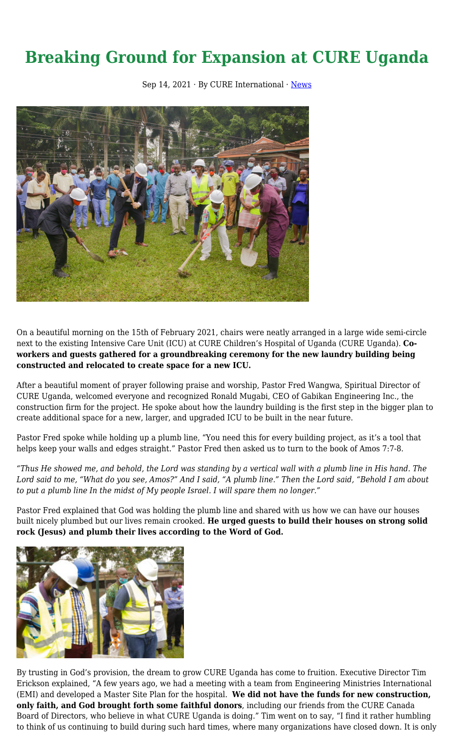## **Breaking Ground for Expansion at CURE Uganda**

Sep 14, 2021  $\cdot$  By CURE International  $\cdot$  [News](https://cure.org/category/news/)



On a beautiful morning on the 15th of February 2021, chairs were neatly arranged in a large wide semi-circle next to the existing Intensive Care Unit (ICU) at CURE Children's Hospital of Uganda (CURE Uganda). **Coworkers and guests gathered for a groundbreaking ceremony for the new laundry building being constructed and relocated to create space for a new ICU.**

After a beautiful moment of prayer following praise and worship, Pastor Fred Wangwa, Spiritual Director of CURE Uganda, welcomed everyone and recognized Ronald Mugabi, CEO of Gabikan Engineering Inc., the construction firm for the project. He spoke about how the laundry building is the first step in the bigger plan to create additional space for a new, larger, and upgraded ICU to be built in the near future.

Pastor Fred spoke while holding up a plumb line, "You need this for every building project, as it's a tool that helps keep your walls and edges straight." Pastor Fred then asked us to turn to the book of Amos 7:7-8.

*"Thus He showed me, and behold, the Lord was standing by a vertical wall with a plumb line in His hand. The Lord said to me, "What do you see, Amos?" And I said, "A plumb line." Then the Lord said, "Behold I am about to put a plumb line In the midst of My people Israel. I will spare them no longer."* 

Pastor Fred explained that God was holding the plumb line and shared with us how we can have our houses built nicely plumbed but our lives remain crooked. **He urged guests to build their houses on strong solid rock (Jesus) and plumb their lives according to the Word of God.** 



By trusting in God's provision, the dream to grow CURE Uganda has come to fruition. Executive Director Tim Erickson explained, "A few years ago, we had a meeting with a team from Engineering Ministries International (EMI) and developed a Master Site Plan for the hospital. **We did not have the funds for new construction, only faith, and God brought forth some faithful donors**, including our friends from the CURE Canada Board of Directors, who believe in what CURE Uganda is doing." Tim went on to say, "I find it rather humbling to think of us continuing to build during such hard times, where many organizations have closed down. It is only